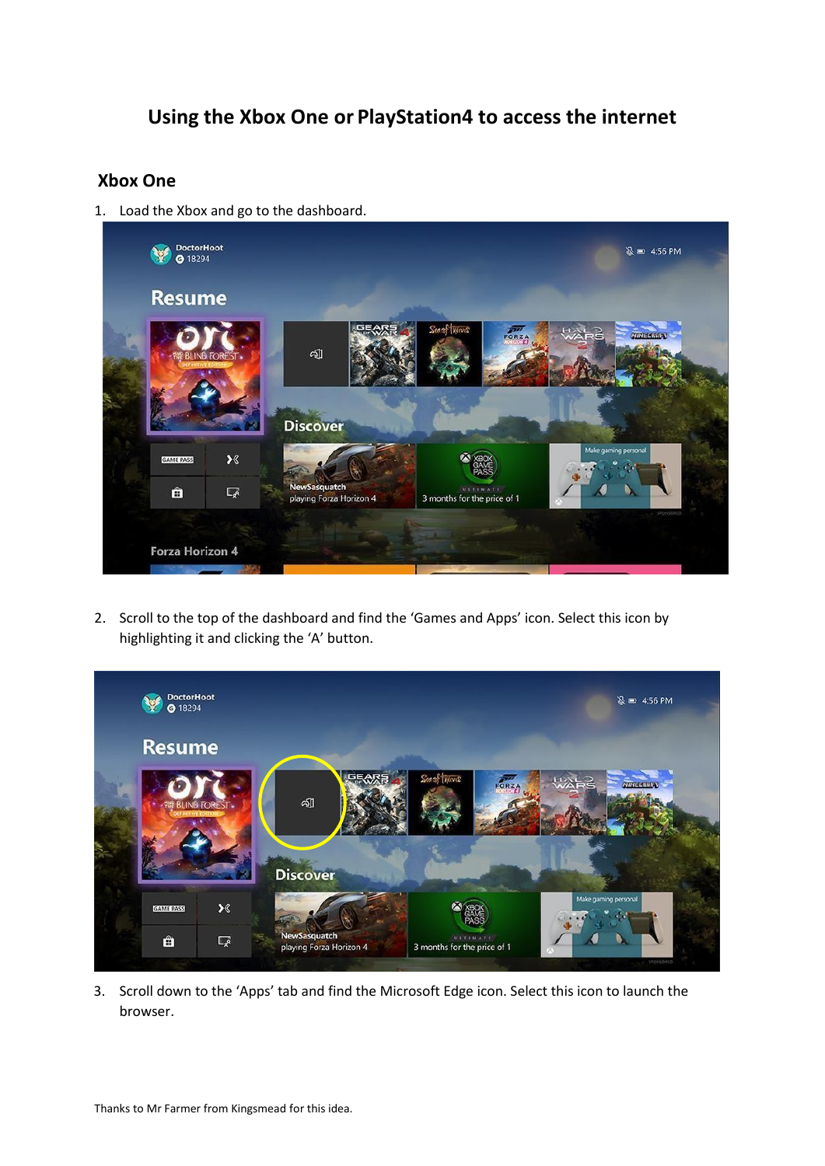## **Using the Xbox One or PlayStation4 to access the internet**

## **Xbox One**

1. Load the Xbox and go to the dashboard.



2. Scroll to the top of the dashboard and find the 'Games and Apps' icon. Select this icon by highlighting it and clicking the 'A' button.



3. Scroll down to the 'Apps' tab and find the Microsoft Edge icon. Select this icon to launch the browser.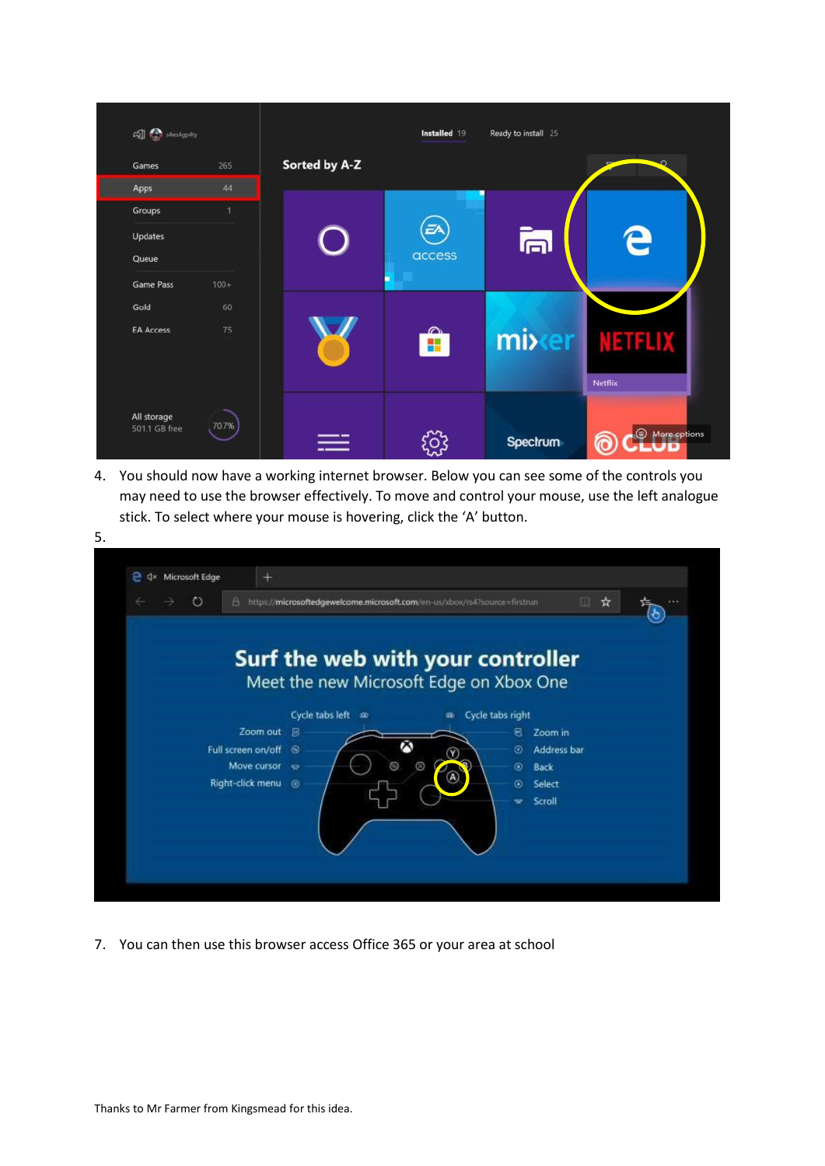| All Christophy               |        | Installed 19<br>Ready to install 25 |        |          |                                  |  |  |
|------------------------------|--------|-------------------------------------|--------|----------|----------------------------------|--|--|
| Games                        | 265    | <b>Sorted by A-Z</b>                |        |          | $\circ$                          |  |  |
| Apps                         | 44     |                                     |        |          |                                  |  |  |
| Groups<br>Updates            |        |                                     | Ē٨     | ī۳,      | e                                |  |  |
| Queue                        |        |                                     | access |          |                                  |  |  |
| <b>Game Pass</b>             | $100+$ |                                     |        |          |                                  |  |  |
| Gold                         | 60     |                                     |        |          |                                  |  |  |
| <b>EA Access</b>             | 75     |                                     | ж      | mixer    | <b>NETFLIX</b><br><b>Netflix</b> |  |  |
| All storage<br>501.1 GB free | 70.7%  |                                     |        | Spectrum | More options                     |  |  |

4. You should now have a working internet browser. Below you can see some of the controls you may need to use the browser effectively. To move and control your mouse, use the left analogue stick. To select where your mouse is hovering, click the 'A' button.



7. You can then use this browser access Office 365 or your area at school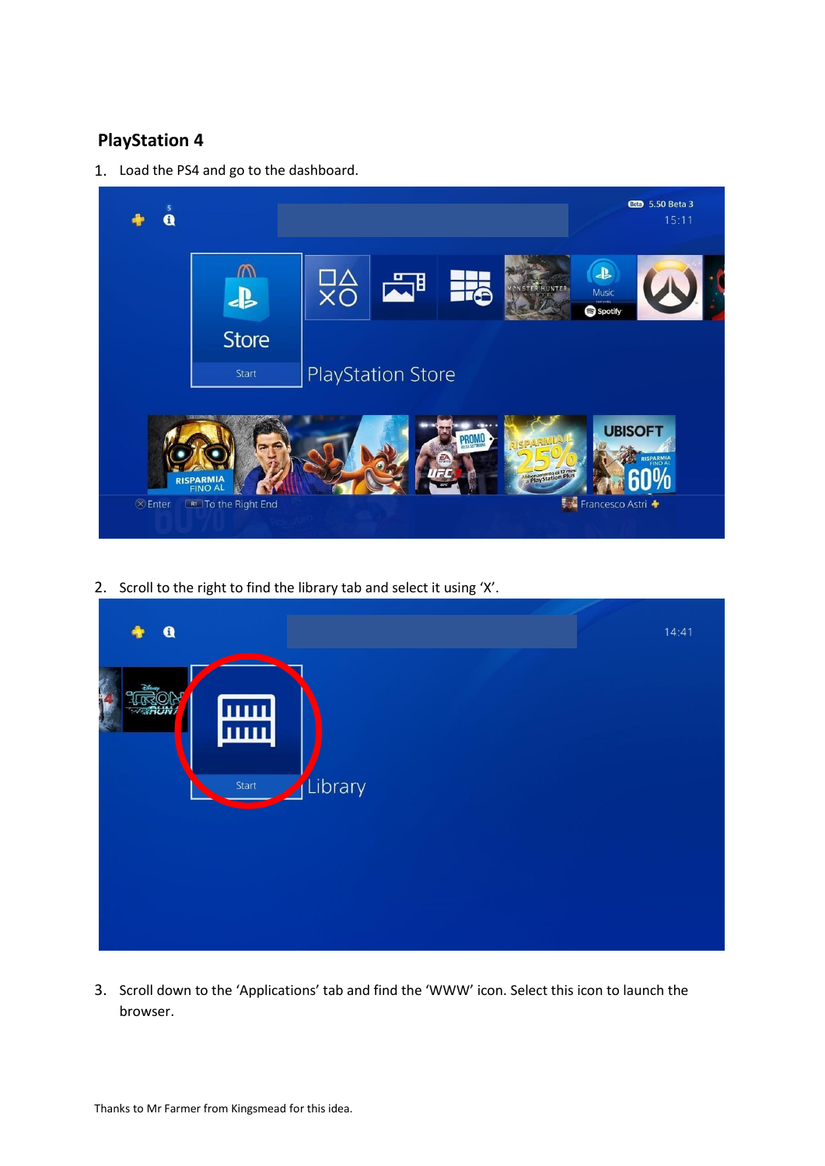## **PlayStation 4**

1. Load the PS4 and go to the dashboard.



2. Scroll to the right to find the library tab and select it using 'X'.



3. Scroll down to the 'Applications' tab and find the 'WWW' icon. Select this icon to launch the browser.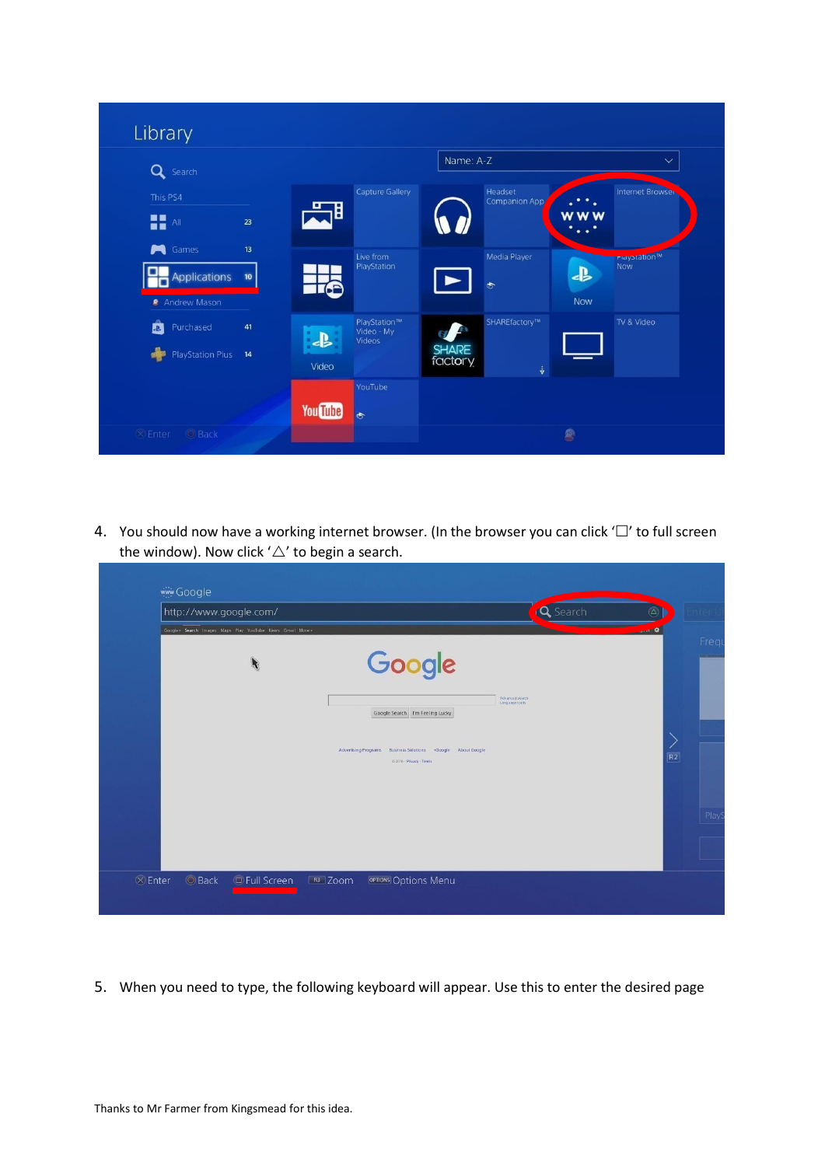| Capture Gallery<br>Headset<br>Internet Browser<br>This PS4<br>Companion App<br>8<br>W<br>H<br>$\overline{A}$ ll<br>23<br>Games<br>13<br>Live from<br>Media Player<br>Fidybtation™<br>Now<br>PlayStation<br>$\frac{1}{2}$<br><b>Applications</b><br>10<br>$\ddot{\sigma}$<br>- 2<br>Now<br><b>&amp;</b> Andrew Mason<br>SHAREfactory™<br>PlayStation™<br>TV & Video<br>A<br>Purchased<br>41<br>Video - My<br>$\mathbf{B}$<br>Videos<br><b>SHARE</b><br>$\bullet$<br>PlayStation Plus 14<br>factory<br>Video<br>$\ddot{\mathbf{v}}$ | Q Search |  |         | Name: A-Z |  | $\checkmark$ |
|-----------------------------------------------------------------------------------------------------------------------------------------------------------------------------------------------------------------------------------------------------------------------------------------------------------------------------------------------------------------------------------------------------------------------------------------------------------------------------------------------------------------------------------|----------|--|---------|-----------|--|--------------|
|                                                                                                                                                                                                                                                                                                                                                                                                                                                                                                                                   |          |  |         |           |  |              |
|                                                                                                                                                                                                                                                                                                                                                                                                                                                                                                                                   |          |  |         |           |  |              |
|                                                                                                                                                                                                                                                                                                                                                                                                                                                                                                                                   |          |  | YouTube |           |  |              |

4. You should now have a working internet browser. (In the browser you can click ' $\Box'$  to full screen the window). Now click  $'\triangle'$  to begin a search.

| www.Google<br>http://www.google.com/                     |                                   |                                                                                                                                      |                                   | <b>Q</b> Search<br>$(\Delta)$ |                |       |
|----------------------------------------------------------|-----------------------------------|--------------------------------------------------------------------------------------------------------------------------------------|-----------------------------------|-------------------------------|----------------|-------|
| Google+ Search Images Maps Play YouTube News Gmail More+ |                                   | Google<br>Google Search I'm Feeling Lucky<br>Advertising Programs Business Solutions +Google About Google<br>02016 - Privacy - Terms | Advanced search<br>Language tools | …… 受                          | R <sub>2</sub> | Frequ |
|                                                          |                                   |                                                                                                                                      |                                   |                               |                | Play  |
| $\otimes$ Enter<br>$\odot$ Back                          | <b>O</b> Full Screen<br>$R3$ Zoom | OPTIONS Options Menu                                                                                                                 |                                   |                               |                |       |

5. When you need to type, the following keyboard will appear. Use this to enter the desired page